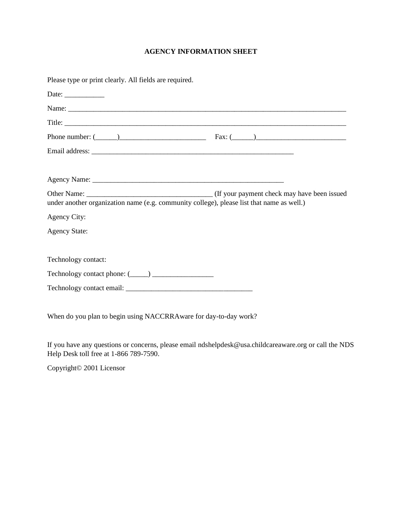## **AGENCY INFORMATION SHEET**

| Please type or print clearly. All fields are required.                                    |  |
|-------------------------------------------------------------------------------------------|--|
|                                                                                           |  |
|                                                                                           |  |
|                                                                                           |  |
| Phone number: $(\_\_)$ Fax: $(\_\_)$                                                      |  |
|                                                                                           |  |
|                                                                                           |  |
|                                                                                           |  |
| under another organization name (e.g. community college), please list that name as well.) |  |
| Agency City:                                                                              |  |
| <b>Agency State:</b>                                                                      |  |
|                                                                                           |  |
| Technology contact:                                                                       |  |
|                                                                                           |  |
|                                                                                           |  |
|                                                                                           |  |

When do you plan to begin using NACCRRAware for day-to-day work?

If you have any questions or concerns, please email ndshelpdesk@usa.childcareaware.org or call the NDS Help Desk toll free at 1-866 789-7590.

Copyright© 2001 Licensor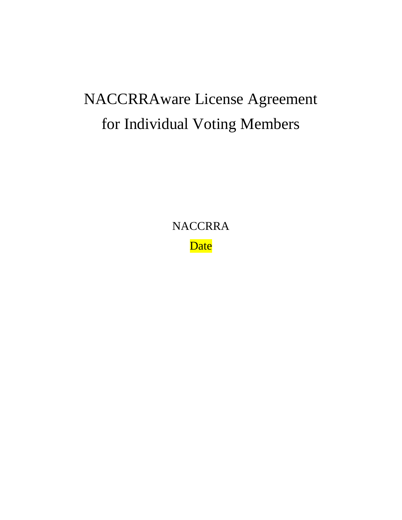# NACCRRAware License Agreement for Individual Voting Members

**NACCRRA Date**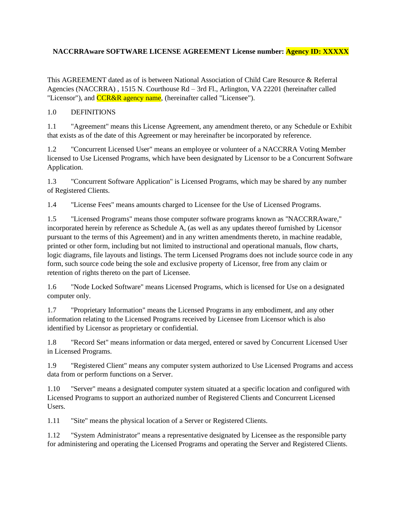## **NACCRRAware SOFTWARE LICENSE AGREEMENT License number: Agency ID: XXXXX**

This AGREEMENT dated as of is between National Association of Child Care Resource & Referral Agencies (NACCRRA) , 1515 N. Courthouse Rd – 3rd Fl., Arlington, VA 22201 (hereinafter called "Licensor"), and **CCR&R** agency name, (hereinafter called "Licensee").

## 1.0 DEFINITIONS

1.1 "Agreement" means this License Agreement, any amendment thereto, or any Schedule or Exhibit that exists as of the date of this Agreement or may hereinafter be incorporated by reference.

1.2 "Concurrent Licensed User" means an employee or volunteer of a NACCRRA Voting Member licensed to Use Licensed Programs, which have been designated by Licensor to be a Concurrent Software Application.

1.3 "Concurrent Software Application" is Licensed Programs, which may be shared by any number of Registered Clients.

1.4 "License Fees" means amounts charged to Licensee for the Use of Licensed Programs.

1.5 "Licensed Programs" means those computer software programs known as ''NACCRRAware,'' incorporated herein by reference as Schedule A, (as well as any updates thereof furnished by Licensor pursuant to the terms of this Agreement) and in any written amendments thereto, in machine readable, printed or other form, including but not limited to instructional and operational manuals, flow charts, logic diagrams, file layouts and listings. The term Licensed Programs does not include source code in any form, such source code being the sole and exclusive property of Licensor, free from any claim or retention of rights thereto on the part of Licensee.

1.6 "Node Locked Software" means Licensed Programs, which is licensed for Use on a designated computer only.

1.7 "Proprietary Information" means the Licensed Programs in any embodiment, and any other information relating to the Licensed Programs received by Licensee from Licensor which is also identified by Licensor as proprietary or confidential.

1.8 "Record Set" means information or data merged, entered or saved by Concurrent Licensed User in Licensed Programs.

1.9 "Registered Client" means any computer system authorized to Use Licensed Programs and access data from or perform functions on a Server.

1.10 "Server" means a designated computer system situated at a specific location and configured with Licensed Programs to support an authorized number of Registered Clients and Concurrent Licensed Users.

1.11 "Site" means the physical location of a Server or Registered Clients.

1.12 "System Administrator" means a representative designated by Licensee as the responsible party for administering and operating the Licensed Programs and operating the Server and Registered Clients.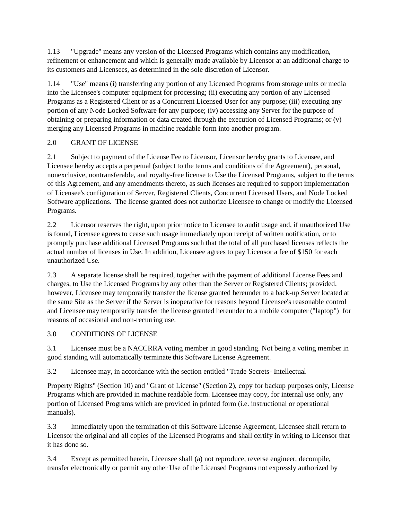1.13 "Upgrade" means any version of the Licensed Programs which contains any modification, refinement or enhancement and which is generally made available by Licensor at an additional charge to its customers and Licensees, as determined in the sole discretion of Licensor.

1.14 "Use" means (i) transferring any portion of any Licensed Programs from storage units or media into the Licensee's computer equipment for processing; (ii) executing any portion of any Licensed Programs as a Registered Client or as a Concurrent Licensed User for any purpose; (iii) executing any portion of any Node Locked Software for any purpose; (iv) accessing any Server for the purpose of obtaining or preparing information or data created through the execution of Licensed Programs; or (v) merging any Licensed Programs in machine readable form into another program.

# 2.0 GRANT OF LICENSE

2.1 Subject to payment of the License Fee to Licensor, Licensor hereby grants to Licensee, and Licensee hereby accepts a perpetual (subject to the terms and conditions of the Agreement), personal, nonexclusive, nontransferable, and royalty-free license to Use the Licensed Programs, subject to the terms of this Agreement, and any amendments thereto, as such licenses are required to support implementation of Licensee's configuration of Server, Registered Clients, Concurrent Licensed Users, and Node Locked Software applications. The license granted does not authorize Licensee to change or modify the Licensed Programs.

2.2 Licensor reserves the right, upon prior notice to Licensee to audit usage and, if unauthorized Use is found, Licensee agrees to cease such usage immediately upon receipt of written notification, or to promptly purchase additional Licensed Programs such that the total of all purchased licenses reflects the actual number of licenses in Use. In addition, Licensee agrees to pay Licensor a fee of \$150 for each unauthorized Use.

2.3 A separate license shall be required, together with the payment of additional License Fees and charges, to Use the Licensed Programs by any other than the Server or Registered Clients; provided, however, Licensee may temporarily transfer the license granted hereunder to a back-up Server located at the same Site as the Server if the Server is inoperative for reasons beyond Licensee's reasonable control and Licensee may temporarily transfer the license granted hereunder to a mobile computer ("laptop") for reasons of occasional and non-recurring use.

# 3.0 CONDITIONS OF LICENSE

3.1 Licensee must be a NACCRRA voting member in good standing. Not being a voting member in good standing will automatically terminate this Software License Agreement.

3.2 Licensee may, in accordance with the section entitled "Trade Secrets- Intellectual

Property Rights" (Section 10) and "Grant of License" (Section 2), copy for backup purposes only, License Programs which are provided in machine readable form. Licensee may copy, for internal use only, any portion of Licensed Programs which are provided in printed form (i.e. instructional or operational manuals).

3.3 Immediately upon the termination of this Software License Agreement, Licensee shall return to Licensor the original and all copies of the Licensed Programs and shall certify in writing to Licensor that it has done so.

3.4 Except as permitted herein, Licensee shall (a) not reproduce, reverse engineer, decompile, transfer electronically or permit any other Use of the Licensed Programs not expressly authorized by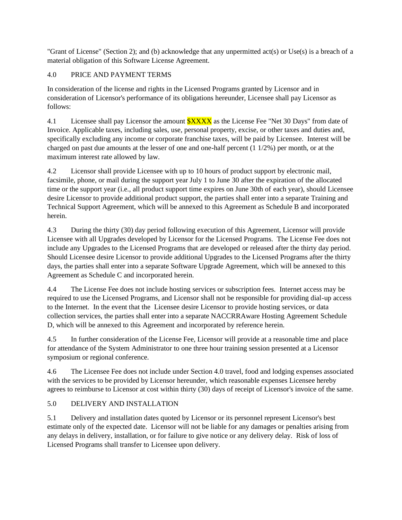"Grant of License" (Section 2); and (b) acknowledge that any unpermitted act(s) or Use(s) is a breach of a material obligation of this Software License Agreement.

# 4.0 PRICE AND PAYMENT TERMS

In consideration of the license and rights in the Licensed Programs granted by Licensor and in consideration of Licensor's performance of its obligations hereunder, Licensee shall pay Licensor as follows:

4.1 Licensee shall pay Licensor the amount  $\frac{SXXX}{S}\$  as the License Fee "Net 30 Days" from date of Invoice. Applicable taxes, including sales, use, personal property, excise, or other taxes and duties and, specifically excluding any income or corporate franchise taxes, will be paid by Licensee. Interest will be charged on past due amounts at the lesser of one and one-half percent (1 1/2%) per month, or at the maximum interest rate allowed by law.

4.2 Licensor shall provide Licensee with up to 10 hours of product support by electronic mail, facsimile, phone, or mail during the support year July 1 to June 30 after the expiration of the allocated time or the support year (i.e., all product support time expires on June 30th of each year), should Licensee desire Licensor to provide additional product support, the parties shall enter into a separate Training and Technical Support Agreement, which will be annexed to this Agreement as Schedule B and incorporated herein.

4.3 During the thirty (30) day period following execution of this Agreement, Licensor will provide Licensee with all Upgrades developed by Licensor for the Licensed Programs. The License Fee does not include any Upgrades to the Licensed Programs that are developed or released after the thirty day period. Should Licensee desire Licensor to provide additional Upgrades to the Licensed Programs after the thirty days, the parties shall enter into a separate Software Upgrade Agreement, which will be annexed to this Agreement as Schedule C and incorporated herein.

4.4 The License Fee does not include hosting services or subscription fees. Internet access may be required to use the Licensed Programs, and Licensor shall not be responsible for providing dial-up access to the Internet. In the event that the Licensee desire Licensor to provide hosting services, or data collection services, the parties shall enter into a separate NACCRRAware Hosting Agreement Schedule D, which will be annexed to this Agreement and incorporated by reference herein.

4.5 In further consideration of the License Fee, Licensor will provide at a reasonable time and place for attendance of the System Administrator to one three hour training session presented at a Licensor symposium or regional conference.

4.6 The Licensee Fee does not include under Section 4.0 travel, food and lodging expenses associated with the services to be provided by Licensor hereunder, which reasonable expenses Licensee hereby agrees to reimburse to Licensor at cost within thirty (30) days of receipt of Licensor's invoice of the same.

# 5.0 DELIVERY AND INSTALLATION

5.1 Delivery and installation dates quoted by Licensor or its personnel represent Licensor's best estimate only of the expected date. Licensor will not be liable for any damages or penalties arising from any delays in delivery, installation, or for failure to give notice or any delivery delay. Risk of loss of Licensed Programs shall transfer to Licensee upon delivery.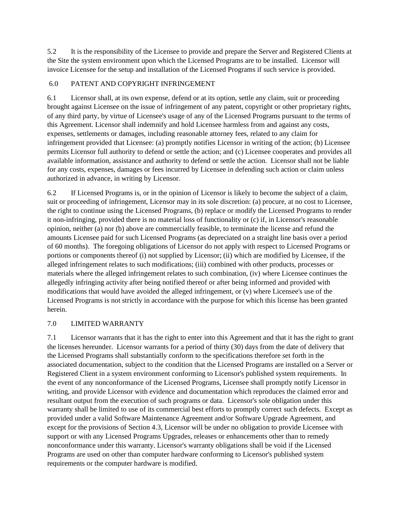5.2 It is the responsibility of the Licensee to provide and prepare the Server and Registered Clients at the Site the system environment upon which the Licensed Programs are to be installed. Licensor will invoice Licensee for the setup and installation of the Licensed Programs if such service is provided.

## 6.0 PATENT AND COPYRIGHT INFRINGEMENT

6.1 Licensor shall, at its own expense, defend or at its option, settle any claim, suit or proceeding brought against Licensee on the issue of infringement of any patent, copyright or other proprietary rights, of any third party, by virtue of Licensee's usage of any of the Licensed Programs pursuant to the terms of this Agreement. Licensor shall indemnify and hold Licensee harmless from and against any costs, expenses, settlements or damages, including reasonable attorney fees, related to any claim for infringement provided that Licensee: (a) promptly notifies Licensor in writing of the action; (b) Licensee permits Licensor full authority to defend or settle the action; and (c) Licensee cooperates and provides all available information, assistance and authority to defend or settle the action. Licensor shall not be liable for any costs, expenses, damages or fees incurred by Licensee in defending such action or claim unless authorized in advance, in writing by Licensor.

6.2 If Licensed Programs is, or in the opinion of Licensor is likely to become the subject of a claim, suit or proceeding of infringement, Licensor may in its sole discretion: (a) procure, at no cost to Licensee, the right to continue using the Licensed Programs, (b) replace or modify the Licensed Programs to render it non-infringing, provided there is no material loss of functionality or (c) if, in Licensor's reasonable opinion, neither (a) nor (b) above are commercially feasible, to terminate the license and refund the amounts Licensee paid for such Licensed Programs (as depreciated on a straight line basis over a period of 60 months). The foregoing obligations of Licensor do not apply with respect to Licensed Programs or portions or components thereof (i) not supplied by Licensor; (ii) which are modified by Licensee, if the alleged infringement relates to such modifications; (iii) combined with other products, processes or materials where the alleged infringement relates to such combination, (iv) where Licensee continues the allegedly infringing activity after being notified thereof or after being informed and provided with modifications that would have avoided the alleged infringement, or (v) where Licensee's use of the Licensed Programs is not strictly in accordance with the purpose for which this license has been granted herein.

## 7.0 LIMITED WARRANTY

7.1 Licensor warrants that it has the right to enter into this Agreement and that it has the right to grant the licenses hereunder. Licensor warrants for a period of thirty (30) days from the date of delivery that the Licensed Programs shall substantially conform to the specifications therefore set forth in the associated documentation, subject to the condition that the Licensed Programs are installed on a Server or Registered Client in a system environment conforming to Licensor's published system requirements. In the event of any nonconformance of the Licensed Programs, Licensee shall promptly notify Licensor in writing, and provide Licensor with evidence and documentation which reproduces the claimed error and resultant output from the execution of such programs or data. Licensor's sole obligation under this warranty shall be limited to use of its commercial best efforts to promptly correct such defects. Except as provided under a valid Software Maintenance Agreement and/or Software Upgrade Agreement, and except for the provisions of Section 4.3, Licensor will be under no obligation to provide Licensee with support or with any Licensed Programs Upgrades, releases or enhancements other than to remedy nonconformance under this warranty. Licensor's warranty obligations shall be void if the Licensed Programs are used on other than computer hardware conforming to Licensor's published system requirements or the computer hardware is modified.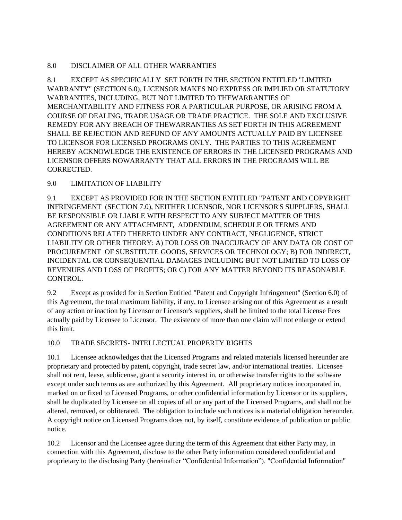## 8.0 DISCLAIMER OF ALL OTHER WARRANTIES

8.1 EXCEPT AS SPECIFICALLY SET FORTH IN THE SECTION ENTITLED "LIMITED WARRANTY" (SECTION 6.0), LICENSOR MAKES NO EXPRESS OR IMPLIED OR STATUTORY WARRANTIES, INCLUDING, BUT NOT LIMITED TO THEWARRANTIES OF MERCHANTABILITY AND FITNESS FOR A PARTICULAR PURPOSE, OR ARISING FROM A COURSE OF DEALING, TRADE USAGE OR TRADE PRACTICE. THE SOLE AND EXCLUSIVE REMEDY FOR ANY BREACH OF THEWARRANTIES AS SET FORTH IN THIS AGREEMENT SHALL BE REJECTION AND REFUND OF ANY AMOUNTS ACTUALLY PAID BY LICENSEE TO LICENSOR FOR LICENSED PROGRAMS ONLY. THE PARTIES TO THIS AGREEMENT HEREBY ACKNOWLEDGE THE EXISTENCE OF ERRORS IN THE LICENSED PROGRAMS AND LICENSOR OFFERS NOWARRANTY THAT ALL ERRORS IN THE PROGRAMS WILL BE CORRECTED.

## 9.0 LIMITATION OF LIABILITY

9.1 EXCEPT AS PROVIDED FOR IN THE SECTION ENTITLED "PATENT AND COPYRIGHT INFRINGEMENT (SECTION 7.0), NEITHER LICENSOR, NOR LICENSOR'S SUPPLIERS, SHALL BE RESPONSIBLE OR LIABLE WITH RESPECT TO ANY SUBJECT MATTER OF THIS AGREEMENT OR ANY ATTACHMENT, ADDENDUM, SCHEDULE OR TERMS AND CONDITIONS RELATED THERETO UNDER ANY CONTRACT, NEGLIGENCE, STRICT LIABILITY OR OTHER THEORY: A) FOR LOSS OR INACCURACY OF ANY DATA OR COST OF PROCUREMENT OF SUBSTITUTE GOODS, SERVICES OR TECHNOLOGY; B) FOR INDIRECT, INCIDENTAL OR CONSEQUENTIAL DAMAGES INCLUDING BUT NOT LIMITED TO LOSS OF REVENUES AND LOSS OF PROFITS; OR C) FOR ANY MATTER BEYOND ITS REASONABLE CONTROL.

9.2 Except as provided for in Section Entitled "Patent and Copyright Infringement" (Section 6.0) of this Agreement, the total maximum liability, if any, to Licensee arising out of this Agreement as a result of any action or inaction by Licensor or Licensor's suppliers, shall be limited to the total License Fees actually paid by Licensee to Licensor. The existence of more than one claim will not enlarge or extend this limit.

# 10.0 TRADE SECRETS- INTELLECTUAL PROPERTY RIGHTS

10.1 Licensee acknowledges that the Licensed Programs and related materials licensed hereunder are proprietary and protected by patent, copyright, trade secret law, and/or international treaties. Licensee shall not rent, lease, sublicense, grant a security interest in, or otherwise transfer rights to the software except under such terms as are authorized by this Agreement. All proprietary notices incorporated in, marked on or fixed to Licensed Programs, or other confidential information by Licensor or its suppliers, shall be duplicated by Licensee on all copies of all or any part of the Licensed Programs, and shall not be altered, removed, or obliterated. The obligation to include such notices is a material obligation hereunder. A copyright notice on Licensed Programs does not, by itself, constitute evidence of publication or public notice.

10.2 Licensor and the Licensee agree during the term of this Agreement that either Party may, in connection with this Agreement, disclose to the other Party information considered confidential and proprietary to the disclosing Party (hereinafter "Confidential Information"). "Confidential Information"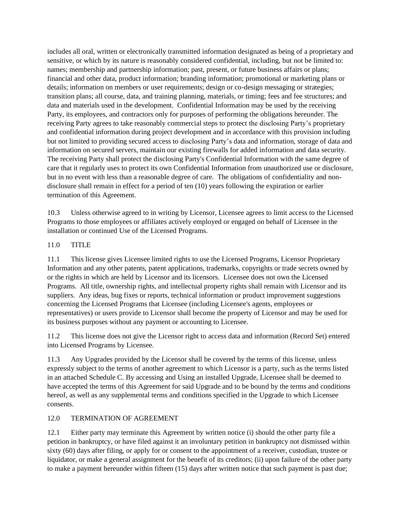includes all oral, written or electronically transmitted information designated as being of a proprietary and sensitive, or which by its nature is reasonably considered confidential, including, but not be limited to: names; membership and partnership information; past, present, or future business affairs or plans; financial and other data, product information; branding information; promotional or marketing plans or details; information on members or user requirements; design or co-design messaging or strategies; transition plans; all course, data, and training planning, materials, or timing; fees and fee structures; and data and materials used in the development. Confidential Information may be used by the receiving Party, its employees, and contractors only for purposes of performing the obligations hereunder. The receiving Party agrees to take reasonably commercial steps to protect the disclosing Party's proprietary and confidential information during project development and in accordance with this provision including but not limited to providing secured access to disclosing Party's data and information, storage of data and information on secured servers, maintain our existing firewalls for added information and data security. The receiving Party shall protect the disclosing Party's Confidential Information with the same degree of care that it regularly uses to protect its own Confidential Information from unauthorized use or disclosure, but in no event with less than a reasonable degree of care. The obligations of confidentiality and nondisclosure shall remain in effect for a period of ten (10) years following the expiration or earlier termination of this Agreement.

10.3 Unless otherwise agreed to in writing by Licensor, Licensee agrees to limit access to the Licensed Programs to those employees or affiliates actively employed or engaged on behalf of Licensee in the installation or continued Use of the Licensed Programs.

## 11.0 TITLE

11.1 This license gives Licensee limited rights to use the Licensed Programs, Licensor Proprietary Information and any other patents, patent applications, trademarks, copyrights or trade secrets owned by or the rights in which are held by Licensor and its licensors. Licensee does not own the Licensed Programs. All title, ownership rights, and intellectual property rights shall remain with Licensor and its suppliers. Any ideas, bug fixes or reports, technical information or product improvement suggestions concerning the Licensed Programs that Licensee (including Licensee's agents, employees or representatives) or users provide to Licensor shall become the property of Licensor and may be used for its business purposes without any payment or accounting to Licensee.

11.2 This license does not give the Licensor right to access data and information (Record Set) entered into Licensed Programs by Licensee.

11.3 Any Upgrades provided by the Licensor shall be covered by the terms of this license, unless expressly subject to the terms of another agreement to which Licensor is a party, such as the terms listed in an attached Schedule C. By accessing and Using an installed Upgrade, Licensee shall be deemed to have accepted the terms of this Agreement for said Upgrade and to be bound by the terms and conditions hereof, as well as any supplemental terms and conditions specified in the Upgrade to which Licensee consents.

## 12.0 TERMINATION OF AGREEMENT

12.1 Either party may terminate this Agreement by written notice (i) should the other party file a petition in bankruptcy, or have filed against it an involuntary petition in bankruptcy not dismissed within sixty (60) days after filing, or apply for or consent to the appointment of a receiver, custodian, trustee or liquidator, or make a general assignment for the benefit of its creditors; (ii) upon failure of the other party to make a payment hereunder within fifteen (15) days after written notice that such payment is past due;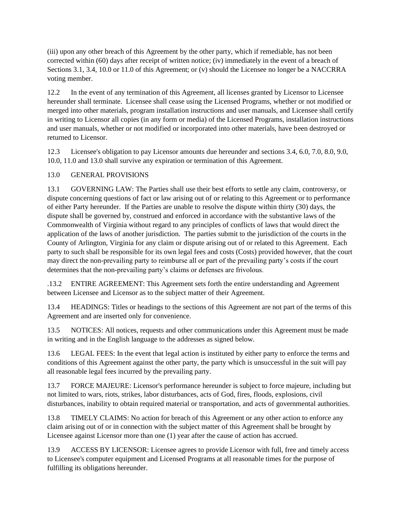(iii) upon any other breach of this Agreement by the other party, which if remediable, has not been corrected within (60) days after receipt of written notice; (iv) immediately in the event of a breach of Sections 3.1, 3.4, 10.0 or 11.0 of this Agreement; or (v) should the Licensee no longer be a NACCRRA voting member.

12.2 In the event of any termination of this Agreement, all licenses granted by Licensor to Licensee hereunder shall terminate. Licensee shall cease using the Licensed Programs, whether or not modified or merged into other materials, program installation instructions and user manuals, and Licensee shall certify in writing to Licensor all copies (in any form or media) of the Licensed Programs, installation instructions and user manuals, whether or not modified or incorporated into other materials, have been destroyed or returned to Licensor.

12.3 Licensee's obligation to pay Licensor amounts due hereunder and sections 3.4, 6.0, 7.0, 8.0, 9.0, 10.0, 11.0 and 13.0 shall survive any expiration or termination of this Agreement.

## 13.0 GENERAL PROVISIONS

13.1 GOVERNING LAW: The Parties shall use their best efforts to settle any claim, controversy, or dispute concerning questions of fact or law arising out of or relating to this Agreement or to performance of either Party hereunder. If the Parties are unable to resolve the dispute within thirty (30) days, the dispute shall be governed by, construed and enforced in accordance with the substantive laws of the Commonwealth of Virginia without regard to any principles of conflicts of laws that would direct the application of the laws of another jurisdiction. The parties submit to the jurisdiction of the courts in the County of Arlington, Virginia for any claim or dispute arising out of or related to this Agreement. Each party to such shall be responsible for its own legal fees and costs (Costs) provided however, that the court may direct the non-prevailing party to reimburse all or part of the prevailing party's costs if the court determines that the non-prevailing party's claims or defenses are frivolous.

.13.2 ENTIRE AGREEMENT: This Agreement sets forth the entire understanding and Agreement between Licensee and Licensor as to the subject matter of their Agreement.

13.4 HEADINGS: Titles or headings to the sections of this Agreement are not part of the terms of this Agreement and are inserted only for convenience.

13.5 NOTICES: All notices, requests and other communications under this Agreement must be made in writing and in the English language to the addresses as signed below.

13.6 LEGAL FEES: In the event that legal action is instituted by either party to enforce the terms and conditions of this Agreement against the other party, the party which is unsuccessful in the suit will pay all reasonable legal fees incurred by the prevailing party.

13.7 FORCE MAJEURE: Licensor's performance hereunder is subject to force majeure, including but not limited to wars, riots, strikes, labor disturbances, acts of God, fires, floods, explosions, civil disturbances, inability to obtain required material or transportation, and acts of governmental authorities.

13.8 TIMELY CLAIMS: No action for breach of this Agreement or any other action to enforce any claim arising out of or in connection with the subject matter of this Agreement shall be brought by Licensee against Licensor more than one (1) year after the cause of action has accrued.

13.9 ACCESS BY LICENSOR: Licensee agrees to provide Licensor with full, free and timely access to Licensee's computer equipment and Licensed Programs at all reasonable times for the purpose of fulfilling its obligations hereunder.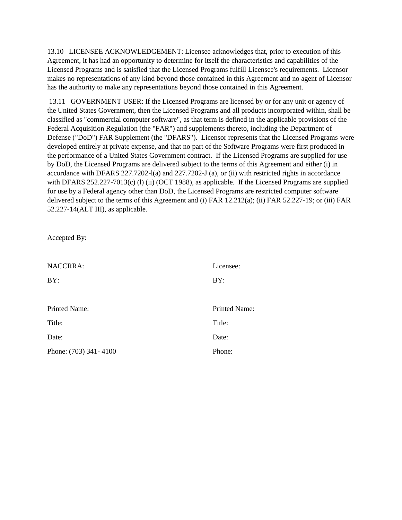13.10 LICENSEE ACKNOWLEDGEMENT: Licensee acknowledges that, prior to execution of this Agreement, it has had an opportunity to determine for itself the characteristics and capabilities of the Licensed Programs and is satisfied that the Licensed Programs fulfill Licensee's requirements. Licensor makes no representations of any kind beyond those contained in this Agreement and no agent of Licensor has the authority to make any representations beyond those contained in this Agreement.

13.11 GOVERNMENT USER: If the Licensed Programs are licensed by or for any unit or agency of the United States Government, then the Licensed Programs and all products incorporated within, shall be classified as "commercial computer software", as that term is defined in the applicable provisions of the Federal Acquisition Regulation (the "FAR") and supplements thereto, including the Department of Defense ("DoD") FAR Supplement (the "DFARS"). Licensor represents that the Licensed Programs were developed entirely at private expense, and that no part of the Software Programs were first produced in the performance of a United States Government contract. If the Licensed Programs are supplied for use by DoD, the Licensed Programs are delivered subject to the terms of this Agreement and either (i) in accordance with DFARS 227.7202-l(a) and 227.7202-J (a), or (ii) with restricted rights in accordance with DFARS 252.227-7013(c) (l) (ii) (OCT 1988), as applicable. If the Licensed Programs are supplied for use by a Federal agency other than DoD, the Licensed Programs are restricted computer software delivered subject to the terms of this Agreement and (i) FAR 12.212(a); (ii) FAR 52.227-19; or (iii) FAR 52.227-14(ALT III), as applicable.

Accepted By:

| <b>NACCRRA:</b>       | Licensee:            |
|-----------------------|----------------------|
| BY:                   | BY:                  |
|                       |                      |
| Printed Name:         | <b>Printed Name:</b> |
| Title:                | Title:               |
| Date:                 | Date:                |
| Phone: (703) 341-4100 | Phone:               |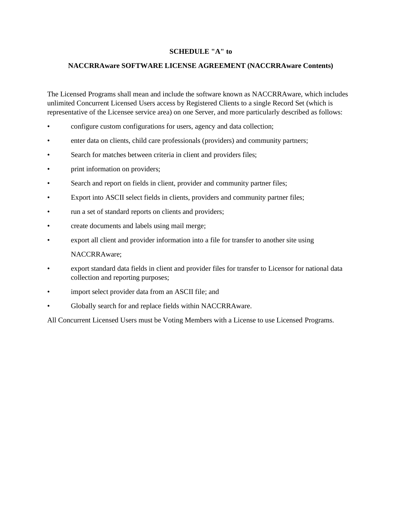#### **SCHEDULE "A" to**

#### **NACCRRAware SOFTWARE LICENSE AGREEMENT (NACCRRAware Contents)**

The Licensed Programs shall mean and include the software known as NACCRRAware, which includes unlimited Concurrent Licensed Users access by Registered Clients to a single Record Set (which is representative of the Licensee service area) on one Server, and more particularly described as follows:

- configure custom configurations for users, agency and data collection;
- enter data on clients, child care professionals (providers) and community partners;
- Search for matches between criteria in client and providers files;
- print information on providers;
- Search and report on fields in client, provider and community partner files;
- Export into ASCII select fields in clients, providers and community partner files;
- run a set of standard reports on clients and providers;
- create documents and labels using mail merge;
- export all client and provider information into a file for transfer to another site using

NACCRRAware;

- export standard data fields in client and provider files for transfer to Licensor for national data collection and reporting purposes;
- import select provider data from an ASCII file; and
- Globally search for and replace fields within NACCRRAware.

All Concurrent Licensed Users must be Voting Members with a License to use Licensed Programs.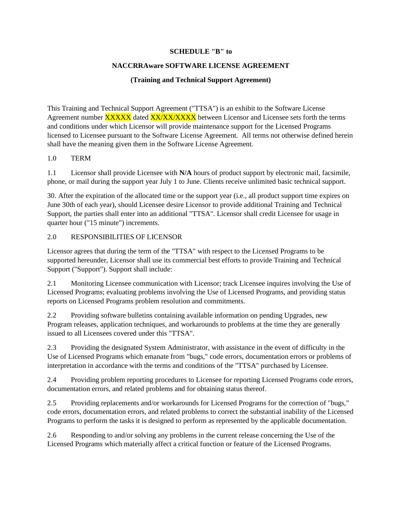#### **SCHEDULE "B" to**

#### **NACCRRAware SOFTWARE LICENSE AGREEMENT**

## **(Training and Technical Support Agreement)**

This Training and Technical Support Agreement ("TTSA") is an exhibit to the Software License Agreement number **XXXXX** dated **XX/XX/XXXX** between Licensor and Licensee sets forth the terms and conditions under which Licensor will provide maintenance support for the Licensed Programs licensed to Licensee pursuant to the Software License Agreement. All terms not otherwise defined herein shall have the meaning given them in the Software License Agreement.

## 1.0 TERM

1.1 Licensor shall provide Licensee with **N/A** hours of product support by electronic mail, facsimile, phone, or mail during the support year July 1 to June. Clients receive unlimited basic technical support.

30. After the expiration of the allocated time or the support year (i.e., all product support time expires on June 30th of each year), should Licensee desire Licensor to provide additional Training and Technical Support, the parties shall enter into an additional "TTSA". Licensor shall credit Licensee for usage in quarter hour ("15 minute") increments.

## 2.0 RESPONSIBILITIES OF LICENSOR

Licensor agrees that during the term of the "TTSA" with respect to the Licensed Programs to be supported hereunder, Licensor shall use its commercial best efforts to provide Training and Technical Support ("Support"). Support shall include:

2.1 Monitoring Licensee communication with Licensor; track Licensee inquires involving the Use of Licensed Programs; evaluating problems involving the Use of Licensed Programs, and providing status reports on Licensed Programs problem resolution and commitments.

2.2 Providing software bulletins containing available information on pending Upgrades, new Program releases, application techniques, and workarounds to problems at the time they are generally issued to all Licensees covered under this "TTSA".

2.3 Providing the designated System Administrator, with assistance in the event of difficulty in the Use of Licensed Programs which emanate from "bugs," code errors, documentation errors or problems of interpretation in accordance with the terms and conditions of the "TTSA" purchased by Licensee.

2.4 Providing problem reporting procedures to Licensee for reporting Licensed Programs code errors, documentation errors, and related problems and for obtaining status thereof.

2.5 Providing replacements and/or workarounds for Licensed Programs for the correction of "bugs," code errors, documentation errors, and related problems to correct the substantial inability of the Licensed Programs to perform the tasks it is designed to perform as represented by the applicable documentation.

2.6 Responding to and/or solving any problems in the current release concerning the Use of the Licensed Programs which materially affect a critical function or feature of the Licensed Programs.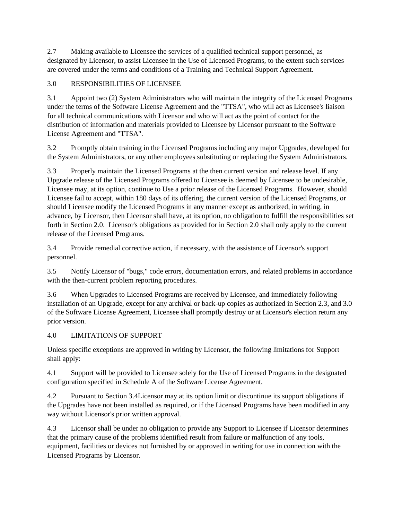2.7 Making available to Licensee the services of a qualified technical support personnel, as designated by Licensor, to assist Licensee in the Use of Licensed Programs, to the extent such services are covered under the terms and conditions of a Training and Technical Support Agreement.

# 3.0 RESPONSIBILITIES OF LICENSEE

3.1 Appoint two (2) System Administrators who will maintain the integrity of the Licensed Programs under the terms of the Software License Agreement and the "TTSA", who will act as Licensee's liaison for all technical communications with Licensor and who will act as the point of contact for the distribution of information and materials provided to Licensee by Licensor pursuant to the Software License Agreement and "TTSA".

3.2 Promptly obtain training in the Licensed Programs including any major Upgrades, developed for the System Administrators, or any other employees substituting or replacing the System Administrators.

3.3 Properly maintain the Licensed Programs at the then current version and release level. If any Upgrade release of the Licensed Programs offered to Licensee is deemed by Licensee to be undesirable, Licensee may, at its option, continue to Use a prior release of the Licensed Programs. However, should Licensee fail to accept, within 180 days of its offering, the current version of the Licensed Programs, or should Licensee modify the Licensed Programs in any manner except as authorized, in writing, in advance, by Licensor, then Licensor shall have, at its option, no obligation to fulfill the responsibilities set forth in Section 2.0. Licensor's obligations as provided for in Section 2.0 shall only apply to the current release of the Licensed Programs.

3.4 Provide remedial corrective action, if necessary, with the assistance of Licensor's support personnel.

3.5 Notify Licensor of "bugs," code errors, documentation errors, and related problems in accordance with the then-current problem reporting procedures.

3.6 When Upgrades to Licensed Programs are received by Licensee, and immediately following installation of an Upgrade, except for any archival or back-up copies as authorized in Section 2.3, and 3.0 of the Software License Agreement, Licensee shall promptly destroy or at Licensor's election return any prior version.

# 4.0 LIMITATIONS OF SUPPORT

Unless specific exceptions are approved in writing by Licensor, the following limitations for Support shall apply:

4.1 Support will be provided to Licensee solely for the Use of Licensed Programs in the designated configuration specified in Schedule A of the Software License Agreement.

4.2 Pursuant to Section 3.4Licensor may at its option limit or discontinue its support obligations if the Upgrades have not been installed as required, or if the Licensed Programs have been modified in any way without Licensor's prior written approval.

4.3 Licensor shall be under no obligation to provide any Support to Licensee if Licensor determines that the primary cause of the problems identified result from failure or malfunction of any tools, equipment, facilities or devices not furnished by or approved in writing for use in connection with the Licensed Programs by Licensor.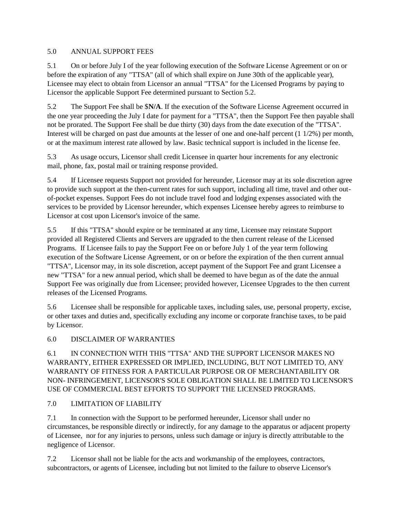### 5.0 ANNUAL SUPPORT FEES

5.1 On or before July I of the year following execution of the Software License Agreement or on or before the expiration of any "TTSA" (all of which shall expire on June 30th of the applicable year), Licensee may elect to obtain from Licensor an annual "TTSA" for the Licensed Programs by paying to Licensor the applicable Support Fee determined pursuant to Section 5.2.

5.2 The Support Fee shall be \$**N/A**. If the execution of the Software License Agreement occurred in the one year proceeding the July I date for payment for a "TTSA", then the Support Fee then payable shall not be prorated. The Support Fee shall be due thirty (30) days from the date execution of the "TTSA". Interest will be charged on past due amounts at the lesser of one and one-half percent (1 1/2%) per month, or at the maximum interest rate allowed by law. Basic technical support is included in the license fee.

5.3 As usage occurs, Licensor shall credit Licensee in quarter hour increments for any electronic mail, phone, fax, postal mail or training response provided.

5.4 If Licensee requests Support not provided for hereunder, Licensor may at its sole discretion agree to provide such support at the then-current rates for such support, including all time, travel and other outof-pocket expenses. Support Fees do not include travel food and lodging expenses associated with the services to be provided by Licensor hereunder, which expenses Licensee hereby agrees to reimburse to Licensor at cost upon Licensor's invoice of the same.

5.5 If this "TTSA" should expire or be terminated at any time, Licensee may reinstate Support provided all Registered Clients and Servers are upgraded to the then current release of the Licensed Programs. If Licensee fails to pay the Support Fee on or before July 1 of the year term following execution of the Software License Agreement, or on or before the expiration of the then current annual "TTSA", Licensor may, in its sole discretion, accept payment of the Support Fee and grant Licensee a new "TTSA" for a new annual period, which shall be deemed to have begun as of the date the annual Support Fee was originally due from Licensee; provided however, Licensee Upgrades to the then current releases of the Licensed Programs.

5.6 Licensee shall be responsible for applicable taxes, including sales, use, personal property, excise, or other taxes and duties and, specifically excluding any income or corporate franchise taxes, to be paid by Licensor.

## 6.0 DISCLAIMER OF WARRANTIES

6.1 IN CONNECTION WITH THIS "TTSA" AND THE SUPPORT LICENSOR MAKES NO WARRANTY, EITHER EXPRESSED OR IMPLIED, INCLUDING, BUT NOT LIMITED TO, ANY WARRANTY OF FITNESS FOR A PARTICULAR PURPOSE OR OF MERCHANTABILITY OR NON- INFRINGEMENT, LICENSOR'S SOLE OBLIGATION SHALL BE LIMITED TO LICENSOR'S USE OF COMMERCIAL BEST EFFORTS TO SUPPORT THE LICENSED PROGRAMS.

## 7.0 LIMITATION OF LIABILITY

7.1 In connection with the Support to be performed hereunder, Licensor shall under no circumstances, be responsible directly or indirectly, for any damage to the apparatus or adjacent property of Licensee, nor for any injuries to persons, unless such damage or injury is directly attributable to the negligence of Licensor.

7.2 Licensor shall not be liable for the acts and workmanship of the employees, contractors, subcontractors, or agents of Licensee, including but not limited to the failure to observe Licensor's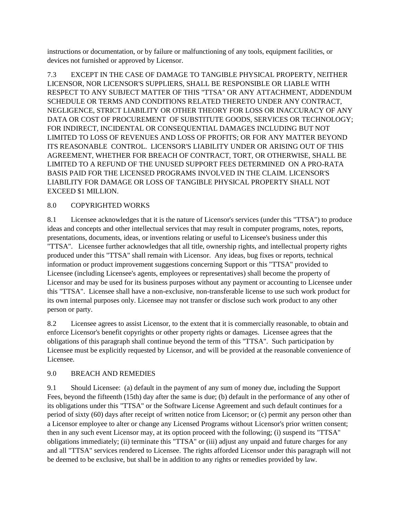instructions or documentation, or by failure or malfunctioning of any tools, equipment facilities, or devices not furnished or approved by Licensor.

7.3 EXCEPT IN THE CASE OF DAMAGE TO TANGIBLE PHYSICAL PROPERTY, NEITHER LICENSOR, NOR LICENSOR'S SUPPLIERS, SHALL BE RESPONSIBLE OR LIABLE WITH RESPECT TO ANY SUBJECT MATTER OF THIS "TTSA" OR ANY ATTACHMENT, ADDENDUM SCHEDULE OR TERMS AND CONDITIONS RELATED THERETO UNDER ANY CONTRACT, NEGLIGENCE, STRICT LIABILITY OR OTHER THEORY FOR LOSS OR INACCURACY OF ANY DATA OR COST OF PROCUREMENT OF SUBSTITUTE GOODS, SERVICES OR TECHNOLOGY; FOR INDIRECT, INCIDENTAL OR CONSEQUENTIAL DAMAGES INCLUDING BUT NOT LIMITED TO LOSS OF REVENUES AND LOSS OF PROFITS; OR FOR ANY MATTER BEYOND ITS REASONABLE CONTROL. LICENSOR'S LIABILITY UNDER OR ARISING OUT OF THIS AGREEMENT, WHETHER FOR BREACH OF CONTRACT, TORT, OR OTHERWISE, SHALL BE LIMITED TO A REFUND OF THE UNUSED SUPPORT FEES DETERMINED ON A PRO-RATA BASIS PAID FOR THE LICENSED PROGRAMS INVOLVED IN THE CLAIM. LICENSOR'S LIABILITY FOR DAMAGE OR LOSS OF TANGIBLE PHYSICAL PROPERTY SHALL NOT EXCEED \$1 MILLION.

## 8.0 COPYRIGHTED WORKS

8.1 Licensee acknowledges that it is the nature of Licensor's services (under this "TTSA") to produce ideas and concepts and other intellectual services that may result in computer programs, notes, reports, presentations, documents, ideas, or inventions relating or useful to Licensee's business under this "TTSA". Licensee further acknowledges that all title, ownership rights, and intellectual property rights produced under this "TTSA" shall remain with Licensor. Any ideas, bug fixes or reports, technical information or product improvement suggestions concerning Support or this "TTSA" provided to Licensee (including Licensee's agents, employees or representatives) shall become the property of Licensor and may be used for its business purposes without any payment or accounting to Licensee under this "TTSA". Licensee shall have a non-exclusive, non-transferable license to use such work product for its own internal purposes only. Licensee may not transfer or disclose such work product to any other person or party.

8.2 Licensee agrees to assist Licensor, to the extent that it is commercially reasonable, to obtain and enforce Licensor's benefit copyrights or other property rights or damages. Licensee agrees that the obligations of this paragraph shall continue beyond the term of this "TTSA". Such participation by Licensee must be explicitly requested by Licensor, and will be provided at the reasonable convenience of Licensee.

## 9.0 BREACH AND REMEDIES

9.1 Should Licensee: (a) default in the payment of any sum of money due, including the Support Fees, beyond the fifteenth (15th) day after the same is due; (b) default in the performance of any other of its obligations under this "TTSA" or the Software License Agreement and such default continues for a period of sixty (60) days after receipt of written notice from Licensor; or (c) permit any person other than a Licensor employee to alter or change any Licensed Programs without Licensor's prior written consent; then in any such event Licensor may, at its option proceed with the following; (i) suspend its "TTSA" obligations immediately; (ii) terminate this "TTSA" or (iii) adjust any unpaid and future charges for any and all "TTSA" services rendered to Licensee. The rights afforded Licensor under this paragraph will not be deemed to be exclusive, but shall be in addition to any rights or remedies provided by law.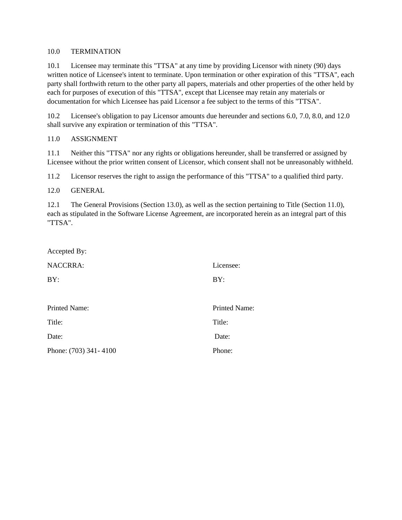#### 10.0 TERMINATION

10.1 Licensee may terminate this "TTSA" at any time by providing Licensor with ninety (90) days written notice of Licensee's intent to terminate. Upon termination or other expiration of this "TTSA", each party shall forthwith return to the other party all papers, materials and other properties of the other held by each for purposes of execution of this "TTSA", except that Licensee may retain any materials or documentation for which Licensee has paid Licensor a fee subject to the terms of this "TTSA".

10.2 Licensee's obligation to pay Licensor amounts due hereunder and sections 6.0, 7.0, 8.0, and 12.0 shall survive any expiration or termination of this "TTSA".

#### 11.0 ASSIGNMENT

11.1 Neither this "TTSA" nor any rights or obligations hereunder, shall be transferred or assigned by Licensee without the prior written consent of Licensor, which consent shall not be unreasonably withheld.

11.2 Licensor reserves the right to assign the performance of this "TTSA" to a qualified third party.

#### 12.0 GENERAL

12.1 The General Provisions (Section 13.0), as well as the section pertaining to Title (Section 11.0), each as stipulated in the Software License Agreement, are incorporated herein as an integral part of this "TTSA".

| Accepted By:          |               |
|-----------------------|---------------|
| <b>NACCRRA:</b>       | Licensee:     |
| BY:                   | BY:           |
|                       |               |
| <b>Printed Name:</b>  | Printed Name: |
| Title:                | Title:        |
| Date:                 | Date:         |
| Phone: (703) 341-4100 | Phone:        |
|                       |               |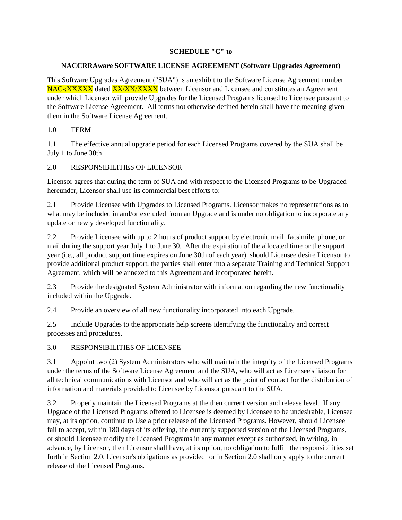#### **SCHEDULE "C" to**

#### **NACCRRAware SOFTWARE LICENSE AGREEMENT (Software Upgrades Agreement)**

This Software Upgrades Agreement ("SUA") is an exhibit to the Software License Agreement number NAC-:XXXXX dated XX/XX/XXXX between Licensor and Licensee and constitutes an Agreement under which Licensor will provide Upgrades for the Licensed Programs licensed to Licensee pursuant to the Software License Agreement. All terms not otherwise defined herein shall have the meaning given them in the Software License Agreement.

#### 1.0 TERM

1.1 The effective annual upgrade period for each Licensed Programs covered by the SUA shall be July 1 to June 30th

#### 2.0 RESPONSIBILITIES OF LICENSOR

Licensor agrees that during the term of SUA and with respect to the Licensed Programs to be Upgraded hereunder, Licensor shall use its commercial best efforts to:

2.1 Provide Licensee with Upgrades to Licensed Programs. Licensor makes no representations as to what may be included in and/or excluded from an Upgrade and is under no obligation to incorporate any update or newly developed functionality.

2.2 Provide Licensee with up to 2 hours of product support by electronic mail, facsimile, phone, or mail during the support year July 1 to June 30. After the expiration of the allocated time or the support year (i.e., all product support time expires on June 30th of each year), should Licensee desire Licensor to provide additional product support, the parties shall enter into a separate Training and Technical Support Agreement, which will be annexed to this Agreement and incorporated herein.

2.3 Provide the designated System Administrator with information regarding the new functionality included within the Upgrade.

2.4 Provide an overview of all new functionality incorporated into each Upgrade.

2.5 Include Upgrades to the appropriate help screens identifying the functionality and correct processes and procedures.

3.0 RESPONSIBILITIES OF LICENSEE

3.1 Appoint two (2) System Administrators who will maintain the integrity of the Licensed Programs under the terms of the Software License Agreement and the SUA, who will act as Licensee's liaison for all technical communications with Licensor and who will act as the point of contact for the distribution of information and materials provided to Licensee by Licensor pursuant to the SUA.

3.2 Properly maintain the Licensed Programs at the then current version and release level. If any Upgrade of the Licensed Programs offered to Licensee is deemed by Licensee to be undesirable, Licensee may, at its option, continue to Use a prior release of the Licensed Programs. However, should Licensee fail to accept, within 180 days of its offering, the currently supported version of the Licensed Programs, or should Licensee modify the Licensed Programs in any manner except as authorized, in writing, in advance, by Licensor, then Licensor shall have, at its option, no obligation to fulfill the responsibilities set forth in Section 2.0. Licensor's obligations as provided for in Section 2.0 shall only apply to the current release of the Licensed Programs.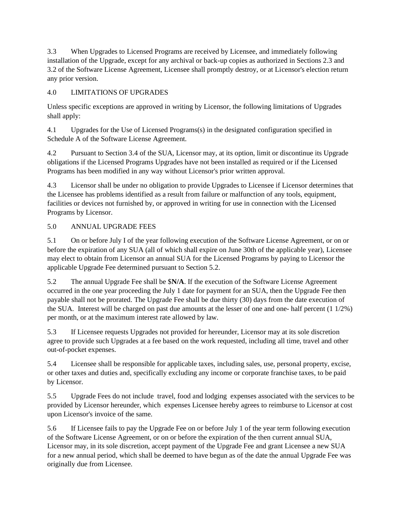3.3 When Upgrades to Licensed Programs are received by Licensee, and immediately following installation of the Upgrade, except for any archival or back-up copies as authorized in Sections 2.3 and 3.2 of the Software License Agreement, Licensee shall promptly destroy, or at Licensor's election return any prior version.

# 4.0 LIMITATIONS OF UPGRADES

Unless specific exceptions are approved in writing by Licensor, the following limitations of Upgrades shall apply:

4.1 Upgrades for the Use of Licensed Programs(s) in the designated configuration specified in Schedule A of the Software License Agreement.

4.2 Pursuant to Section 3.4 of the SUA, Licensor may, at its option, limit or discontinue its Upgrade obligations if the Licensed Programs Upgrades have not been installed as required or if the Licensed Programs has been modified in any way without Licensor's prior written approval.

4.3 Licensor shall be under no obligation to provide Upgrades to Licensee if Licensor determines that the Licensee has problems identified as a result from failure or malfunction of any tools, equipment, facilities or devices not furnished by, or approved in writing for use in connection with the Licensed Programs by Licensor.

# 5.0 ANNUAL UPGRADE FEES

5.1 On or before July I of the year following execution of the Software License Agreement, or on or before the expiration of any SUA (all of which shall expire on June 30th of the applicable year), Licensee may elect to obtain from Licensor an annual SUA for the Licensed Programs by paying to Licensor the applicable Upgrade Fee determined pursuant to Section 5.2.

5.2 The annual Upgrade Fee shall be \$**N/A**. If the execution of the Software License Agreement occurred in the one year proceeding the July 1 date for payment for an SUA, then the Upgrade Fee then payable shall not be prorated. The Upgrade Fee shall be due thirty (30) days from the date execution of the SUA. Interest will be charged on past due amounts at the lesser of one and one- half percent (1 1/2%) per month, or at the maximum interest rate allowed by law.

5.3 If Licensee requests Upgrades not provided for hereunder, Licensor may at its sole discretion agree to provide such Upgrades at a fee based on the work requested, including all time, travel and other out-of-pocket expenses.

5.4 Licensee shall be responsible for applicable taxes, including sales, use, personal property, excise, or other taxes and duties and, specifically excluding any income or corporate franchise taxes, to be paid by Licensor.

5.5 Upgrade Fees do not include travel, food and lodging expenses associated with the services to be provided by Licensor hereunder, which expenses Licensee hereby agrees to reimburse to Licensor at cost upon Licensor's invoice of the same.

5.6 If Licensee fails to pay the Upgrade Fee on or before July 1 of the year term following execution of the Software License Agreement, or on or before the expiration of the then current annual SUA, Licensor may, in its sole discretion, accept payment of the Upgrade Fee and grant Licensee a new SUA for a new annual period, which shall be deemed to have begun as of the date the annual Upgrade Fee was originally due from Licensee.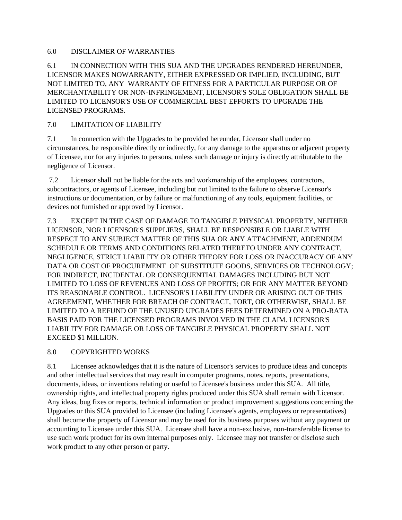#### 6.0 DISCLAIMER OF WARRANTIES

## 6.1 IN CONNECTION WITH THIS SUA AND THE UPGRADES RENDERED HEREUNDER, LICENSOR MAKES NOWARRANTY, EITHER EXPRESSED OR IMPLIED, INCLUDING, BUT NOT LIMITED TO, ANY WARRANTY OF FITNESS FOR A PARTICULAR PURPOSE OR OF MERCHANTABILITY OR NON-INFRINGEMENT, LICENSOR'S SOLE OBLIGATION SHALL BE LIMITED TO LICENSOR'S USE OF COMMERCIAL BEST EFFORTS TO UPGRADE THE LICENSED PROGRAMS.

# 7.0 LIMITATION OF LIABILITY

7.1 In connection with the Upgrades to be provided hereunder, Licensor shall under no circumstances, be responsible directly or indirectly, for any damage to the apparatus or adjacent property of Licensee, nor for any injuries to persons, unless such damage or injury is directly attributable to the negligence of Licensor.

7.2 Licensor shall not be liable for the acts and workmanship of the employees, contractors, subcontractors, or agents of Licensee, including but not limited to the failure to observe Licensor's instructions or documentation, or by failure or malfunctioning of any tools, equipment facilities, or devices not furnished or approved by Licensor.

7.3 EXCEPT IN THE CASE OF DAMAGE TO TANGIBLE PHYSICAL PROPERTY, NEITHER LICENSOR, NOR LICENSOR'S SUPPLIERS, SHALL BE RESPONSIBLE OR LIABLE WITH RESPECT TO ANY SUBJECT MATTER OF THIS SUA OR ANY ATTACHMENT, ADDENDUM SCHEDULE OR TERMS AND CONDITIONS RELATED THERETO UNDER ANY CONTRACT, NEGLIGENCE, STRICT LIABILITY OR OTHER THEORY FOR LOSS OR INACCURACY OF ANY DATA OR COST OF PROCUREMENT OF SUBSTITUTE GOODS, SERVICES OR TECHNOLOGY; FOR INDIRECT, INCIDENTAL OR CONSEQUENTIAL DAMAGES INCLUDING BUT NOT LIMITED TO LOSS OF REVENUES AND LOSS OF PROFITS; OR FOR ANY MATTER BEYOND ITS REASONABLE CONTROL. LICENSOR'S LIABILITY UNDER OR ARISING OUT OF THIS AGREEMENT, WHETHER FOR BREACH OF CONTRACT, TORT, OR OTHERWISE, SHALL BE LIMITED TO A REFUND OF THE UNUSED UPGRADES FEES DETERMINED ON A PRO-RATA BASIS PAID FOR THE LICENSED PROGRAMS INVOLVED IN THE CLAIM. LICENSOR'S LIABILITY FOR DAMAGE OR LOSS OF TANGIBLE PHYSICAL PROPERTY SHALL NOT EXCEED \$1 MILLION.

## 8.0 COPYRIGHTED WORKS

8.1 Licensee acknowledges that it is the nature of Licensor's services to produce ideas and concepts and other intellectual services that may result in computer programs, notes, reports, presentations, documents, ideas, or inventions relating or useful to Licensee's business under this SUA. All title, ownership rights, and intellectual property rights produced under this SUA shall remain with Licensor. Any ideas, bug fixes or reports, technical information or product improvement suggestions concerning the Upgrades or this SUA provided to Licensee (including Licensee's agents, employees or representatives) shall become the property of Licensor and may be used for its business purposes without any payment or accounting to Licensee under this SUA. Licensee shall have a non-exclusive, non-transferable license to use such work product for its own internal purposes only. Licensee may not transfer or disclose such work product to any other person or party.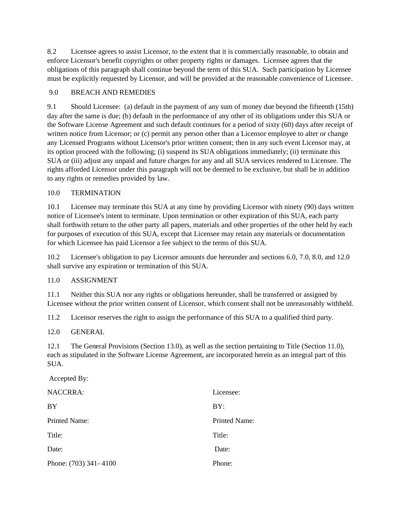8.2 Licensee agrees to assist Licensor, to the extent that it is commercially reasonable, to obtain and enforce Licensor's benefit copyrights or other property rights or damages. Licensee agrees that the obligations of this paragraph shall continue beyond the term of this SUA. Such participation by Licensee must be explicitly requested by Licensor, and will be provided at the reasonable convenience of Licensee.

## 9.0 BREACH AND REMEDIES

9.1 Should Licensee: (a) default in the payment of any sum of money due beyond the fifteenth (15th) day after the same is due; (b) default in the performance of any other of its obligations under this SUA or the Software License Agreement and such default continues for a period of sixty (60) days after receipt of written notice from Licensor; or (c) permit any person other than a Licensor employee to alter or change any Licensed Programs without Licensor's prior written consent; then in any such event Licensor may, at its option proceed with the following; (i) suspend its SUA obligations immediately; (ii) terminate this SUA or (iii) adjust any unpaid and future charges for any and all SUA services rendered to Licensee. The rights afforded Licensor under this paragraph will not be deemed to be exclusive, but shall be in addition to any rights or remedies provided by law.

## 10.0 TERMINATION

10.1 Licensee may terminate this SUA at any time by providing Licensor with ninety (90) days written notice of Licensee's intent to terminate. Upon termination or other expiration of this SUA, each party shall forthwith return to the other party all papers, materials and other properties of the other held by each for purposes of execution of this SUA, except that Licensee may retain any materials or documentation for which Licensee has paid Licensor a fee subject to the terms of this SUA.

10.2 Licensee's obligation to pay Licensor amounts due hereunder and sections 6.0, 7.0, 8.0, and 12.0 shall survive any expiration or termination of this SUA.

## 11.0 ASSIGNMENT

11.1 Neither this SUA nor any rights or obligations hereunder, shall be transferred or assigned by Licensee without the prior written consent of Licensor, which consent shall not be unreasonably withheld.

11.2 Licensor reserves the right to assign the performance of this SUA to a qualified third party.

#### 12.0 GENERAL

12.1 The General Provisions (Section 13.0), as well as the section pertaining to Title (Section 11.0), each as stipulated in the Software License Agreement, are incorporated herein as an integral part of this SUA.

#### Accepted By: NACCRRA: BY Printed Name: Title: Date<sup>·</sup> Phone: (703) 341- 4100 Licensee: BY: Printed Name: Title<sup>.</sup> Date<sup>·</sup> Phone: